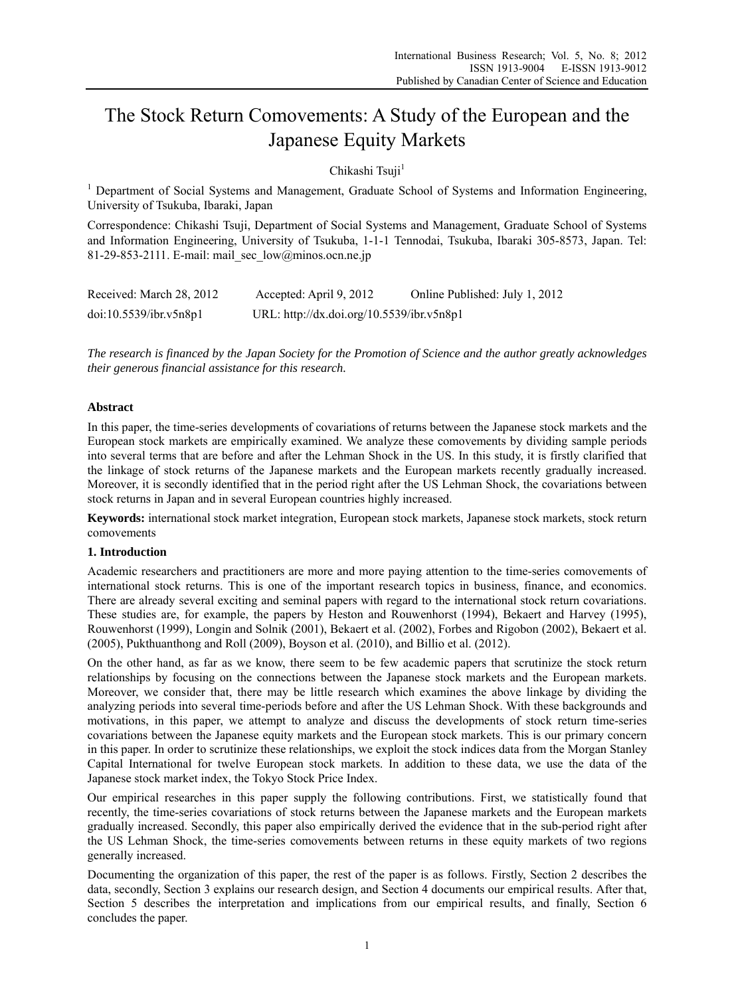# The Stock Return Comovements: A Study of the European and the Japanese Equity Markets

Chikashi Tsuji<sup>1</sup>

<sup>1</sup> Department of Social Systems and Management, Graduate School of Systems and Information Engineering, University of Tsukuba, Ibaraki, Japan

Correspondence: Chikashi Tsuji, Department of Social Systems and Management, Graduate School of Systems and Information Engineering, University of Tsukuba, 1-1-1 Tennodai, Tsukuba, Ibaraki 305-8573, Japan. Tel: 81-29-853-2111. E-mail: mail\_sec\_low@minos.ocn.ne.jp

| Received: March 28, 2012 | Accepted: April 9, 2012                   | Online Published: July 1, 2012 |
|--------------------------|-------------------------------------------|--------------------------------|
| doi:10.5539/ibr.v5n8p1   | URL: http://dx.doi.org/10.5539/ibr.v5n8p1 |                                |

*The research is financed by the Japan Society for the Promotion of Science and the author greatly acknowledges their generous financial assistance for this research.* 

# **Abstract**

In this paper, the time-series developments of covariations of returns between the Japanese stock markets and the European stock markets are empirically examined. We analyze these comovements by dividing sample periods into several terms that are before and after the Lehman Shock in the US. In this study, it is firstly clarified that the linkage of stock returns of the Japanese markets and the European markets recently gradually increased. Moreover, it is secondly identified that in the period right after the US Lehman Shock, the covariations between stock returns in Japan and in several European countries highly increased.

**Keywords:** international stock market integration, European stock markets, Japanese stock markets, stock return comovements

## **1. Introduction**

Academic researchers and practitioners are more and more paying attention to the time-series comovements of international stock returns. This is one of the important research topics in business, finance, and economics. There are already several exciting and seminal papers with regard to the international stock return covariations. These studies are, for example, the papers by Heston and Rouwenhorst (1994), Bekaert and Harvey (1995), Rouwenhorst (1999), Longin and Solnik (2001), Bekaert et al. (2002), Forbes and Rigobon (2002), Bekaert et al. (2005), Pukthuanthong and Roll (2009), Boyson et al. (2010), and Billio et al. (2012).

On the other hand, as far as we know, there seem to be few academic papers that scrutinize the stock return relationships by focusing on the connections between the Japanese stock markets and the European markets. Moreover, we consider that, there may be little research which examines the above linkage by dividing the analyzing periods into several time-periods before and after the US Lehman Shock. With these backgrounds and motivations, in this paper, we attempt to analyze and discuss the developments of stock return time-series covariations between the Japanese equity markets and the European stock markets. This is our primary concern in this paper. In order to scrutinize these relationships, we exploit the stock indices data from the Morgan Stanley Capital International for twelve European stock markets. In addition to these data, we use the data of the Japanese stock market index, the Tokyo Stock Price Index.

Our empirical researches in this paper supply the following contributions. First, we statistically found that recently, the time-series covariations of stock returns between the Japanese markets and the European markets gradually increased. Secondly, this paper also empirically derived the evidence that in the sub-period right after the US Lehman Shock, the time-series comovements between returns in these equity markets of two regions generally increased.

Documenting the organization of this paper, the rest of the paper is as follows. Firstly, Section 2 describes the data, secondly, Section 3 explains our research design, and Section 4 documents our empirical results. After that, Section 5 describes the interpretation and implications from our empirical results, and finally, Section 6 concludes the paper.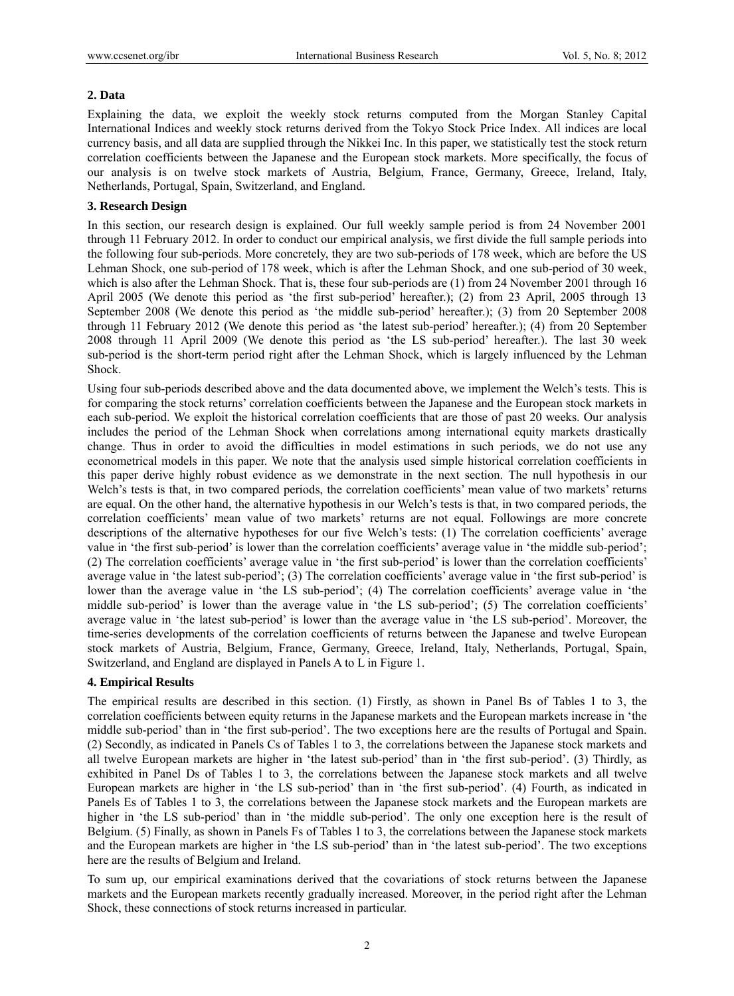## **2. Data**

Explaining the data, we exploit the weekly stock returns computed from the Morgan Stanley Capital International Indices and weekly stock returns derived from the Tokyo Stock Price Index. All indices are local currency basis, and all data are supplied through the Nikkei Inc. In this paper, we statistically test the stock return correlation coefficients between the Japanese and the European stock markets. More specifically, the focus of our analysis is on twelve stock markets of Austria, Belgium, France, Germany, Greece, Ireland, Italy, Netherlands, Portugal, Spain, Switzerland, and England.

# **3. Research Design**

In this section, our research design is explained. Our full weekly sample period is from 24 November 2001 through 11 February 2012. In order to conduct our empirical analysis, we first divide the full sample periods into the following four sub-periods. More concretely, they are two sub-periods of 178 week, which are before the US Lehman Shock, one sub-period of 178 week, which is after the Lehman Shock, and one sub-period of 30 week, which is also after the Lehman Shock. That is, these four sub-periods are (1) from 24 November 2001 through 16 April 2005 (We denote this period as 'the first sub-period' hereafter.); (2) from 23 April, 2005 through 13 September 2008 (We denote this period as 'the middle sub-period' hereafter.); (3) from 20 September 2008 through 11 February 2012 (We denote this period as 'the latest sub-period' hereafter.); (4) from 20 September 2008 through 11 April 2009 (We denote this period as 'the LS sub-period' hereafter.). The last 30 week sub-period is the short-term period right after the Lehman Shock, which is largely influenced by the Lehman Shock.

Using four sub-periods described above and the data documented above, we implement the Welch's tests. This is for comparing the stock returns' correlation coefficients between the Japanese and the European stock markets in each sub-period. We exploit the historical correlation coefficients that are those of past 20 weeks. Our analysis includes the period of the Lehman Shock when correlations among international equity markets drastically change. Thus in order to avoid the difficulties in model estimations in such periods, we do not use any econometrical models in this paper. We note that the analysis used simple historical correlation coefficients in this paper derive highly robust evidence as we demonstrate in the next section. The null hypothesis in our Welch's tests is that, in two compared periods, the correlation coefficients' mean value of two markets' returns are equal. On the other hand, the alternative hypothesis in our Welch's tests is that, in two compared periods, the correlation coefficients' mean value of two markets' returns are not equal. Followings are more concrete descriptions of the alternative hypotheses for our five Welch's tests: (1) The correlation coefficients' average value in 'the first sub-period' is lower than the correlation coefficients' average value in 'the middle sub-period'; (2) The correlation coefficients' average value in 'the first sub-period' is lower than the correlation coefficients' average value in 'the latest sub-period'; (3) The correlation coefficients' average value in 'the first sub-period' is lower than the average value in 'the LS sub-period'; (4) The correlation coefficients' average value in 'the middle sub-period' is lower than the average value in 'the LS sub-period'; (5) The correlation coefficients' average value in 'the latest sub-period' is lower than the average value in 'the LS sub-period'. Moreover, the time-series developments of the correlation coefficients of returns between the Japanese and twelve European stock markets of Austria, Belgium, France, Germany, Greece, Ireland, Italy, Netherlands, Portugal, Spain, Switzerland, and England are displayed in Panels A to L in Figure 1.

# **4. Empirical Results**

The empirical results are described in this section. (1) Firstly, as shown in Panel Bs of Tables 1 to 3, the correlation coefficients between equity returns in the Japanese markets and the European markets increase in 'the middle sub-period' than in 'the first sub-period'. The two exceptions here are the results of Portugal and Spain. (2) Secondly, as indicated in Panels Cs of Tables 1 to 3, the correlations between the Japanese stock markets and all twelve European markets are higher in 'the latest sub-period' than in 'the first sub-period'. (3) Thirdly, as exhibited in Panel Ds of Tables 1 to 3, the correlations between the Japanese stock markets and all twelve European markets are higher in 'the LS sub-period' than in 'the first sub-period'. (4) Fourth, as indicated in Panels Es of Tables 1 to 3, the correlations between the Japanese stock markets and the European markets are higher in 'the LS sub-period' than in 'the middle sub-period'. The only one exception here is the result of Belgium. (5) Finally, as shown in Panels Fs of Tables 1 to 3, the correlations between the Japanese stock markets and the European markets are higher in 'the LS sub-period' than in 'the latest sub-period'. The two exceptions here are the results of Belgium and Ireland.

To sum up, our empirical examinations derived that the covariations of stock returns between the Japanese markets and the European markets recently gradually increased. Moreover, in the period right after the Lehman Shock, these connections of stock returns increased in particular.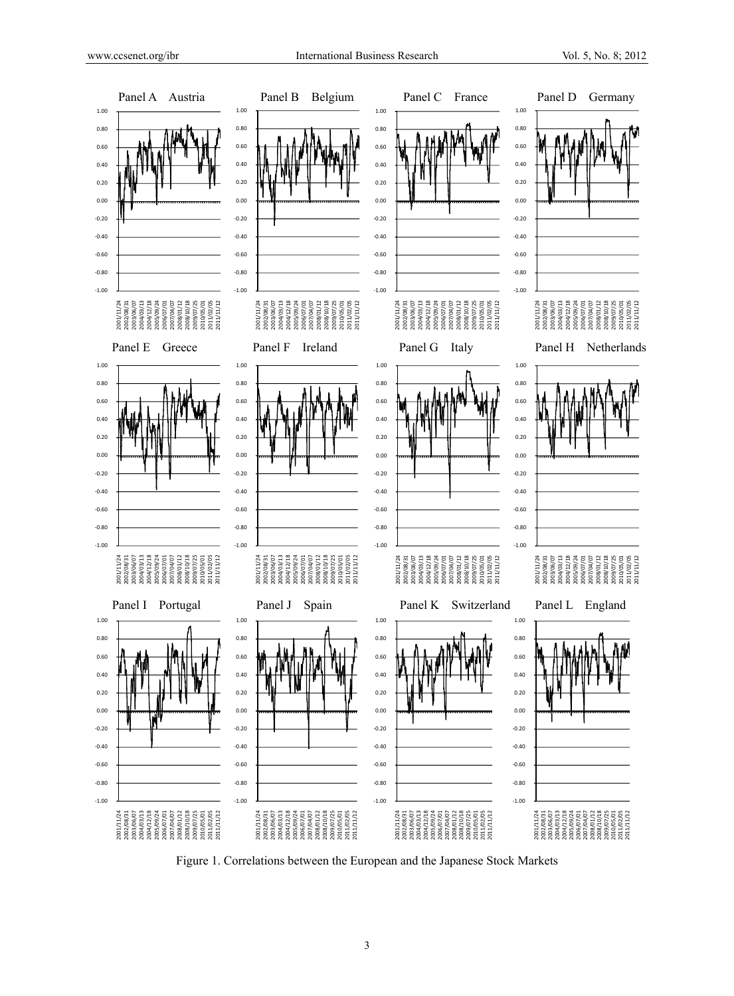

Figure 1. Correlations between the European and the Japanese Stock Markets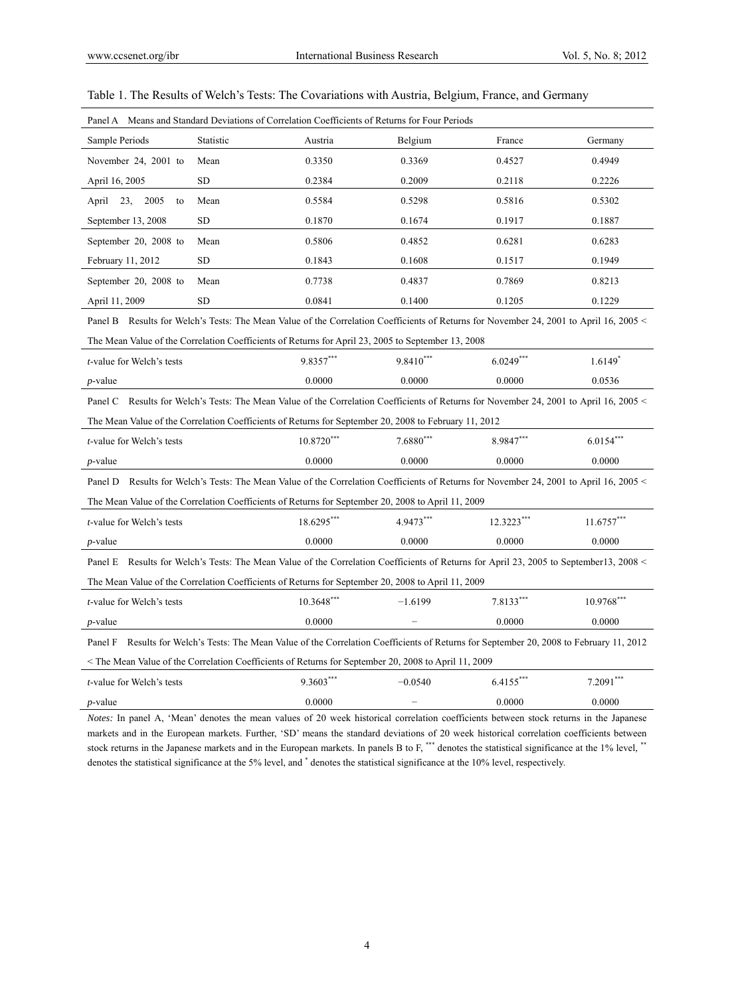| Panel A Means and Standard Deviations of Correlation Coefficients of Returns for Four Periods                                               |                                                         |              |             |             |              |  |  |  |
|---------------------------------------------------------------------------------------------------------------------------------------------|---------------------------------------------------------|--------------|-------------|-------------|--------------|--|--|--|
| Sample Periods                                                                                                                              | Statistic                                               | Austria      | Belgium     | France      | Germany      |  |  |  |
| November 24, 2001 to                                                                                                                        | Mean                                                    | 0.3350       | 0.3369      | 0.4527      | 0.4949       |  |  |  |
| April 16, 2005                                                                                                                              | <b>SD</b>                                               | 0.2384       | 0.2009      | 0.2118      | 0.2226       |  |  |  |
| 23,<br>2005<br>April<br>to                                                                                                                  | Mean                                                    | 0.5584       | 0.5298      | 0.5816      | 0.5302       |  |  |  |
| September 13, 2008                                                                                                                          | <b>SD</b>                                               | 0.1870       | 0.1674      | 0.1917      | 0.1887       |  |  |  |
| September 20, 2008 to                                                                                                                       | Mean                                                    | 0.5806       | 0.4852      | 0.6281      | 0.6283       |  |  |  |
| February 11, 2012                                                                                                                           | <b>SD</b>                                               | 0.1843       | 0.1608      | 0.1517      | 0.1949       |  |  |  |
| September 20, 2008 to                                                                                                                       | Mean                                                    | 0.7738       | 0.4837      | 0.7869      | 0.8213       |  |  |  |
| April 11, 2009                                                                                                                              | <b>SD</b>                                               | 0.0841       | 0.1400      | 0.1205      | 0.1229       |  |  |  |
| Results for Welch's Tests: The Mean Value of the Correlation Coefficients of Returns for November 24, 2001 to April 16, 2005 <<br>Panel B   |                                                         |              |             |             |              |  |  |  |
| The Mean Value of the Correlation Coefficients of Returns for April 23, 2005 to September 13, 2008                                          |                                                         |              |             |             |              |  |  |  |
| <i>t</i> -value for Welch's tests                                                                                                           |                                                         | $9.8357***$  | $9.8410***$ | $6.0249***$ | $1.6149*$    |  |  |  |
| $p$ -value                                                                                                                                  |                                                         | 0.0000       | 0.0000      | 0.0000      | 0.0536       |  |  |  |
| Results for Welch's Tests: The Mean Value of the Correlation Coefficients of Returns for November 24, 2001 to April 16, 2005 <<br>Panel C   |                                                         |              |             |             |              |  |  |  |
| The Mean Value of the Correlation Coefficients of Returns for September 20, 2008 to February 11, 2012                                       |                                                         |              |             |             |              |  |  |  |
| <i>t</i> -value for Welch's tests                                                                                                           | $6.0154***$<br>$10.8720***$<br>$7.6880***$<br>8.9847*** |              |             |             |              |  |  |  |
| 0.0000<br>0.0000<br>0.0000<br>0.0000<br>$p$ -value                                                                                          |                                                         |              |             |             |              |  |  |  |
| Results for Welch's Tests: The Mean Value of the Correlation Coefficients of Returns for November 24, 2001 to April 16, 2005 <<br>Panel D   |                                                         |              |             |             |              |  |  |  |
| The Mean Value of the Correlation Coefficients of Returns for September 20, 2008 to April 11, 2009                                          |                                                         |              |             |             |              |  |  |  |
| <i>t</i> -value for Welch's tests                                                                                                           |                                                         | 18.6295***   | 4.9473***   | 12.3223***  | $11.6757***$ |  |  |  |
| $p$ -value                                                                                                                                  |                                                         | 0.0000       | 0.0000      | 0.0000      | 0.0000       |  |  |  |
| Results for Welch's Tests: The Mean Value of the Correlation Coefficients of Returns for April 23, 2005 to September13, 2008 <<br>Panel E   |                                                         |              |             |             |              |  |  |  |
| The Mean Value of the Correlation Coefficients of Returns for September 20, 2008 to April 11, 2009                                          |                                                         |              |             |             |              |  |  |  |
| <i>t</i> -value for Welch's tests                                                                                                           |                                                         | $10.3648***$ | $-1.6199$   | 7.8133***   | $10.9768***$ |  |  |  |
| $p$ -value                                                                                                                                  |                                                         | 0.0000       |             | 0.0000      | 0.0000       |  |  |  |
| Results for Welch's Tests: The Mean Value of the Correlation Coefficients of Returns for September 20, 2008 to February 11, 2012<br>Panel F |                                                         |              |             |             |              |  |  |  |
| The Mean Value of the Correlation Coefficients of Returns for September 20, 2008 to April 11, 2009                                          |                                                         |              |             |             |              |  |  |  |
| <i>t</i> -value for Welch's tests                                                                                                           |                                                         | 9.3603***    | $-0.0540$   | 6.4155***   | $7.2091***$  |  |  |  |
| <i>p</i> -value                                                                                                                             |                                                         | 0.0000       |             | 0.0000      | 0.0000       |  |  |  |
| Notes: In panel A. 'Mean' denotes the mean values of 20 week historical correlation coefficients between stock returns in the Japanese      |                                                         |              |             |             |              |  |  |  |

|  |  |  | Table 1. The Results of Welch's Tests: The Covariations with Austria, Belgium, France, and Germany |  |  |  |
|--|--|--|----------------------------------------------------------------------------------------------------|--|--|--|
|  |  |  |                                                                                                    |  |  |  |

*Notes:* In panel A, 'Mean' denotes the mean values of 20 week historical correlation coefficients between stock returns in the Japanese markets and in the European markets. Further, 'SD' means the standard deviations of 20 week historical correlation coefficients between stock returns in the Japanese markets and in the European markets. In panels B to F, \*\*\* denotes the statistical significance at the 1% level, \*\* denotes the statistical significance at the 5% level, and \* denotes the statistical significance at the 10% level, respectively.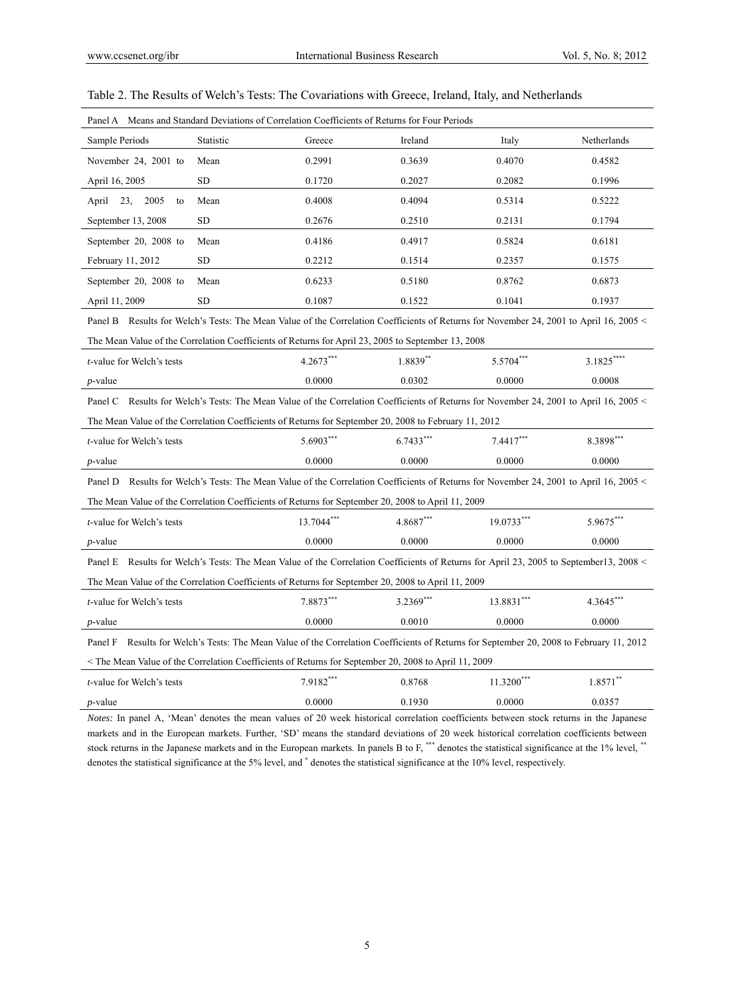| Panel A Means and Standard Deviations of Correlation Coefficients of Returns for Four Periods                                               |                                                      |             |           |              |             |  |  |  |
|---------------------------------------------------------------------------------------------------------------------------------------------|------------------------------------------------------|-------------|-----------|--------------|-------------|--|--|--|
| Sample Periods                                                                                                                              | Statistic                                            | Greece      | Ireland   | Italy        | Netherlands |  |  |  |
| November 24, 2001 to                                                                                                                        | Mean                                                 | 0.2991      | 0.3639    | 0.4070       | 0.4582      |  |  |  |
| April 16, 2005                                                                                                                              | <b>SD</b>                                            | 0.1720      | 0.2027    | 0.2082       | 0.1996      |  |  |  |
| 23,<br>2005<br>April<br>to                                                                                                                  | Mean                                                 | 0.4008      | 0.4094    | 0.5314       | 0.5222      |  |  |  |
| September 13, 2008                                                                                                                          | <b>SD</b>                                            | 0.2676      | 0.2510    | 0.2131       | 0.1794      |  |  |  |
| September 20, 2008 to                                                                                                                       | Mean                                                 | 0.4186      | 0.4917    | 0.5824       | 0.6181      |  |  |  |
| February 11, 2012                                                                                                                           | <b>SD</b>                                            | 0.2212      | 0.1514    | 0.2357       | 0.1575      |  |  |  |
| September 20, 2008 to                                                                                                                       | Mean                                                 | 0.6233      | 0.5180    | 0.8762       | 0.6873      |  |  |  |
| April 11, 2009                                                                                                                              | <b>SD</b>                                            | 0.1087      | 0.1522    | 0.1041       | 0.1937      |  |  |  |
| Results for Welch's Tests: The Mean Value of the Correlation Coefficients of Returns for November 24, 2001 to April 16, 2005 <<br>Panel B   |                                                      |             |           |              |             |  |  |  |
| The Mean Value of the Correlation Coefficients of Returns for April 23, 2005 to September 13, 2008                                          |                                                      |             |           |              |             |  |  |  |
| <i>t</i> -value for Welch's tests                                                                                                           |                                                      | $4.2673***$ | 1.8839**  | 5.5704***    | $3.1825***$ |  |  |  |
| $p$ -value                                                                                                                                  |                                                      | 0.0000      | 0.0302    | 0.0000       | 0.0008      |  |  |  |
| Results for Welch's Tests: The Mean Value of the Correlation Coefficients of Returns for November 24, 2001 to April 16, 2005 <<br>Panel C   |                                                      |             |           |              |             |  |  |  |
| The Mean Value of the Correlation Coefficients of Returns for September 20, 2008 to February 11, 2012                                       |                                                      |             |           |              |             |  |  |  |
| <i>t</i> -value for Welch's tests                                                                                                           | 5.6903***<br>$6.7433***$<br>$7.4417***$<br>8.3898*** |             |           |              |             |  |  |  |
| $p$ -value                                                                                                                                  | 0.0000<br>0.0000<br>0.0000<br>0.0000                 |             |           |              |             |  |  |  |
| Results for Welch's Tests: The Mean Value of the Correlation Coefficients of Returns for November 24, 2001 to April 16, 2005 <<br>Panel D   |                                                      |             |           |              |             |  |  |  |
| The Mean Value of the Correlation Coefficients of Returns for September 20, 2008 to April 11, 2009                                          |                                                      |             |           |              |             |  |  |  |
| <i>t</i> -value for Welch's tests                                                                                                           |                                                      | 13.7044***  | 4.8687*** | 19.0733***   | 5.9675***   |  |  |  |
| $p$ -value                                                                                                                                  |                                                      | 0.0000      | 0.0000    | 0.0000       | 0.0000      |  |  |  |
| Panel E Results for Welch's Tests: The Mean Value of the Correlation Coefficients of Returns for April 23, 2005 to September13, 2008 <      |                                                      |             |           |              |             |  |  |  |
| The Mean Value of the Correlation Coefficients of Returns for September 20, 2008 to April 11, 2009                                          |                                                      |             |           |              |             |  |  |  |
| <i>t</i> -value for Welch's tests                                                                                                           |                                                      | 7.8873***   | 3.2369*** | 13.8831***   | $4.3645***$ |  |  |  |
| $p$ -value                                                                                                                                  |                                                      | 0.0000      | 0.0010    | 0.0000       | 0.0000      |  |  |  |
| Results for Welch's Tests: The Mean Value of the Correlation Coefficients of Returns for September 20, 2008 to February 11, 2012<br>Panel F |                                                      |             |           |              |             |  |  |  |
| The Mean Value of the Correlation Coefficients of Returns for September 20, 2008 to April 11, 2009                                          |                                                      |             |           |              |             |  |  |  |
| <i>t</i> -value for Welch's tests                                                                                                           |                                                      | 7.9182***   | 0.8768    | $11.3200***$ | $1.8571***$ |  |  |  |
| <i>p</i> -value                                                                                                                             |                                                      | 0.0000      | 0.1930    | 0.0000       | 0.0357      |  |  |  |
| Notes: In panel A. 'Mean' denotes the mean values of 20 week historical correlation coefficients between stock returns in the Japanese      |                                                      |             |           |              |             |  |  |  |

| Table 2. The Results of Welch's Tests: The Covariations with Greece, Ireland, Italy, and Netherlands |
|------------------------------------------------------------------------------------------------------|
|------------------------------------------------------------------------------------------------------|

*Notes:* In panel A, 'Mean' denotes the mean values of 20 week historical correlation coefficients between stock returns in the Japanese markets and in the European markets. Further, 'SD' means the standard deviations of 20 week historical correlation coefficients between stock returns in the Japanese markets and in the European markets. In panels B to F, \*\*\* denotes the statistical significance at the 1% level, \*\* denotes the statistical significance at the 5% level, and \* denotes the statistical significance at the 10% level, respectively.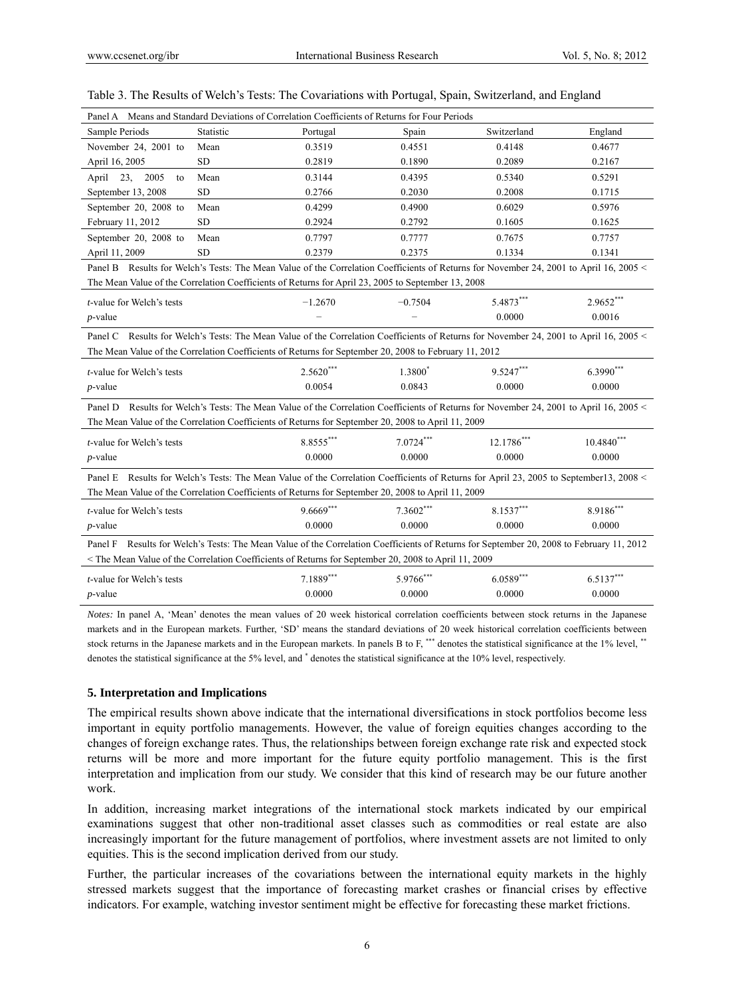| Panel A Means and Standard Deviations of Correlation Coefficients of Returns for Four Periods                                                               |                                      |                                                                                                                                        |             |             |            |  |  |  |
|-------------------------------------------------------------------------------------------------------------------------------------------------------------|--------------------------------------|----------------------------------------------------------------------------------------------------------------------------------------|-------------|-------------|------------|--|--|--|
| Sample Periods                                                                                                                                              | Statistic                            | Portugal                                                                                                                               | Spain       | Switzerland | England    |  |  |  |
| November 24, 2001 to                                                                                                                                        | Mean                                 | 0.3519                                                                                                                                 | 0.4551      | 0.4148      | 0.4677     |  |  |  |
| April 16, 2005                                                                                                                                              | <b>SD</b>                            | 0.2819                                                                                                                                 | 0.1890      | 0.2089      | 0.2167     |  |  |  |
| 23.<br>2005<br>April<br>to                                                                                                                                  | Mean                                 | 0.3144                                                                                                                                 | 0.4395      | 0.5340      | 0.5291     |  |  |  |
| September 13, 2008                                                                                                                                          | <b>SD</b>                            | 0.2766                                                                                                                                 | 0.2030      | 0.2008      | 0.1715     |  |  |  |
| September 20, 2008 to                                                                                                                                       | Mean                                 | 0.4299                                                                                                                                 | 0.4900      | 0.6029      | 0.5976     |  |  |  |
| February 11, 2012                                                                                                                                           | <b>SD</b>                            | 0.2924                                                                                                                                 | 0.2792      | 0.1605      | 0.1625     |  |  |  |
| September 20, 2008 to                                                                                                                                       | Mean                                 | 0.7797                                                                                                                                 | 0.7777      | 0.7675      | 0.7757     |  |  |  |
| April 11, 2009                                                                                                                                              | <b>SD</b>                            | 0.2379                                                                                                                                 | 0.2375      | 0.1334      | 0.1341     |  |  |  |
|                                                                                                                                                             |                                      | Panel B Results for Welch's Tests: The Mean Value of the Correlation Coefficients of Returns for November 24, 2001 to April 16, 2005 < |             |             |            |  |  |  |
|                                                                                                                                                             |                                      | The Mean Value of the Correlation Coefficients of Returns for April 23, 2005 to September 13, 2008                                     |             |             |            |  |  |  |
| <i>t</i> -value for Welch's tests                                                                                                                           |                                      | $-1.2670$                                                                                                                              | $-0.7504$   | 5.4873***   | 2.9652***  |  |  |  |
| $p$ -value                                                                                                                                                  |                                      |                                                                                                                                        |             | 0.0000      | 0.0016     |  |  |  |
| Results for Welch's Tests: The Mean Value of the Correlation Coefficients of Returns for November 24, 2001 to April 16, 2005 <<br>Panel C                   |                                      |                                                                                                                                        |             |             |            |  |  |  |
| The Mean Value of the Correlation Coefficients of Returns for September 20, 2008 to February 11, 2012                                                       |                                      |                                                                                                                                        |             |             |            |  |  |  |
|                                                                                                                                                             |                                      |                                                                                                                                        |             |             |            |  |  |  |
| <i>t</i> -value for Welch's tests                                                                                                                           |                                      | $2.5620***$                                                                                                                            | 1.3800*     | 9.5247***   | 6.3990***  |  |  |  |
| $p$ -value                                                                                                                                                  | 0.0054<br>0.0843<br>0.0000<br>0.0000 |                                                                                                                                        |             |             |            |  |  |  |
| Results for Welch's Tests: The Mean Value of the Correlation Coefficients of Returns for November 24, 2001 to April 16, 2005 <<br>Panel D                   |                                      |                                                                                                                                        |             |             |            |  |  |  |
| The Mean Value of the Correlation Coefficients of Returns for September 20, 2008 to April 11, 2009                                                          |                                      |                                                                                                                                        |             |             |            |  |  |  |
| <i>t</i> -value for Welch's tests                                                                                                                           |                                      | 8.8555***                                                                                                                              | $7.0724***$ | 12.1786***  | 10.4840*** |  |  |  |
| $p$ -value                                                                                                                                                  |                                      | 0.0000                                                                                                                                 | 0.0000      | 0.0000      | 0.0000     |  |  |  |
|                                                                                                                                                             |                                      |                                                                                                                                        |             |             |            |  |  |  |
| Panel E Results for Welch's Tests: The Mean Value of the Correlation Coefficients of Returns for April 23, 2005 to September13, 2008 <                      |                                      |                                                                                                                                        |             |             |            |  |  |  |
| The Mean Value of the Correlation Coefficients of Returns for September 20, 2008 to April 11, 2009                                                          |                                      |                                                                                                                                        |             |             |            |  |  |  |
| <i>t</i> -value for Welch's tests                                                                                                                           |                                      | $9.6669***$                                                                                                                            | 7.3602***   | 8.1537***   | 8.9186***  |  |  |  |
| $p$ -value                                                                                                                                                  |                                      | 0.0000                                                                                                                                 | 0.0000      | 0.0000      | 0.0000     |  |  |  |
| Results for Welch's Tests: The Mean Value of the Correlation Coefficients of Returns for September 20, 2008 to February 11, 2012<br>Panel F                 |                                      |                                                                                                                                        |             |             |            |  |  |  |
| <the 11,="" 20,="" 2008="" 2009<="" april="" coefficients="" correlation="" for="" mean="" of="" returns="" september="" td="" the="" to="" value=""></the> |                                      |                                                                                                                                        |             |             |            |  |  |  |
| t-value for Welch's tests                                                                                                                                   |                                      | 7.1889***                                                                                                                              | 5.9766***   | 6.0589***   | 6.5137***  |  |  |  |
| $p$ -value                                                                                                                                                  |                                      | 0.0000                                                                                                                                 | 0.0000      | 0.0000      | 0.0000     |  |  |  |
|                                                                                                                                                             |                                      |                                                                                                                                        |             |             |            |  |  |  |

## Table 3. The Results of Welch's Tests: The Covariations with Portugal, Spain, Switzerland, and England

*Notes:* In panel A, 'Mean' denotes the mean values of 20 week historical correlation coefficients between stock returns in the Japanese markets and in the European markets. Further, 'SD' means the standard deviations of 20 week historical correlation coefficients between stock returns in the Japanese markets and in the European markets. In panels B to F, \*\*\* denotes the statistical significance at the 1% level, \*\* denotes the statistical significance at the 5% level, and \* denotes the statistical significance at the 10% level, respectively.

### **5. Interpretation and Implications**

The empirical results shown above indicate that the international diversifications in stock portfolios become less important in equity portfolio managements. However, the value of foreign equities changes according to the changes of foreign exchange rates. Thus, the relationships between foreign exchange rate risk and expected stock returns will be more and more important for the future equity portfolio management. This is the first interpretation and implication from our study. We consider that this kind of research may be our future another work.

In addition, increasing market integrations of the international stock markets indicated by our empirical examinations suggest that other non-traditional asset classes such as commodities or real estate are also increasingly important for the future management of portfolios, where investment assets are not limited to only equities. This is the second implication derived from our study.

Further, the particular increases of the covariations between the international equity markets in the highly stressed markets suggest that the importance of forecasting market crashes or financial crises by effective indicators. For example, watching investor sentiment might be effective for forecasting these market frictions.